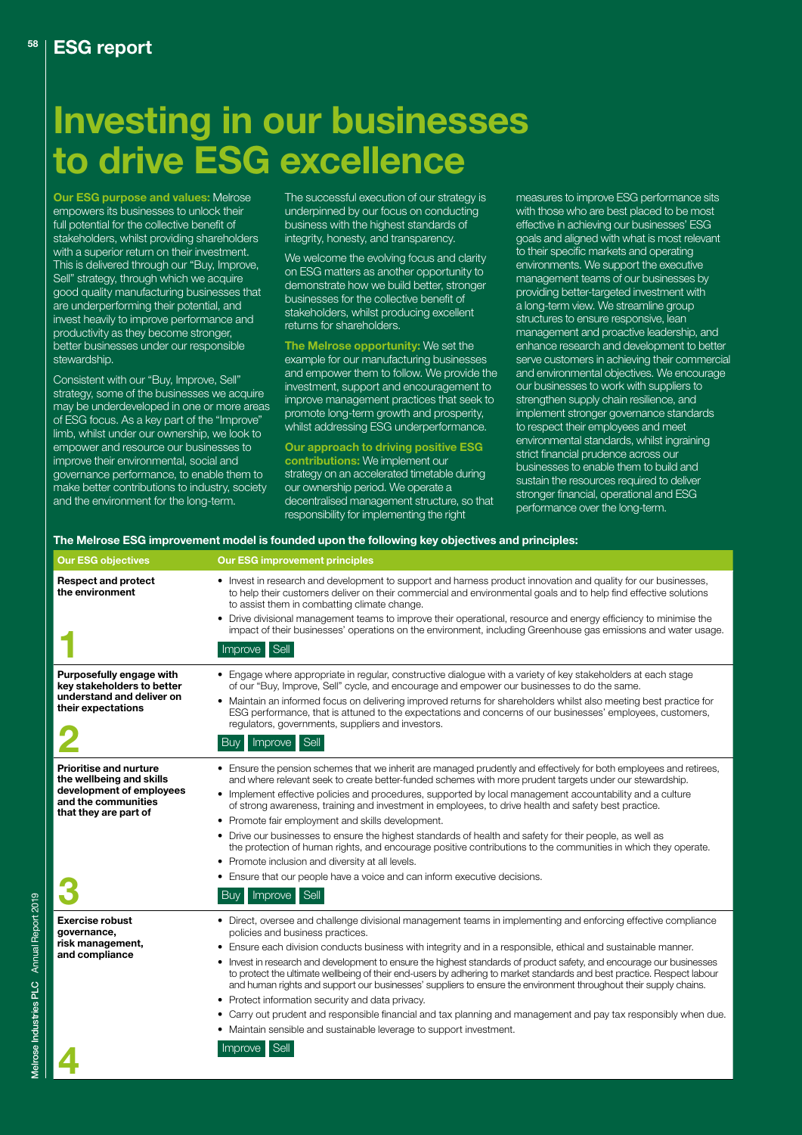# Investing in our businesses to drive ESG excellence

Our ESG purpose and values: Melrose empowers its businesses to unlock their full potential for the collective benefit of stakeholders, whilst providing shareholders with a superior return on their investment. This is delivered through our "Buy, Improve, Sell" strategy, through which we acquire good quality manufacturing businesses that are underperforming their potential, and invest heavily to improve performance and productivity as they become stronger, better businesses under our responsible stewardship.

Consistent with our "Buy, Improve, Sell" strategy, some of the businesses we acquire may be underdeveloped in one or more areas of ESG focus. As a key part of the "Improve" limb, whilst under our ownership, we look to empower and resource our businesses to improve their environmental, social and governance performance, to enable them to make better contributions to industry, society and the environment for the long-term.

The successful execution of our strategy is underpinned by our focus on conducting business with the highest standards of integrity, honesty, and transparency.

We welcome the evolving focus and clarity on ESG matters as another opportunity to demonstrate how we build better, stronger businesses for the collective benefit of stakeholders, whilst producing excellent returns for shareholders.

The Melrose opportunity: We set the example for our manufacturing businesses and empower them to follow. We provide the investment, support and encouragement to improve management practices that seek to promote long-term growth and prosperity, whilst addressing ESG underperformance.

Our approach to driving positive ESG contributions: We implement our strategy on an accelerated timetable during our ownership period. We operate a decentralised management structure, so that responsibility for implementing the right

measures to improve ESG performance sits with those who are best placed to be most effective in achieving our businesses' ESG goals and aligned with what is most relevant to their specific markets and operating environments. We support the executive management teams of our businesses by providing better-targeted investment with a long-term view. We streamline group structures to ensure responsive, lean management and proactive leadership, and enhance research and development to better serve customers in achieving their commercial and environmental objectives. We encourage our businesses to work with suppliers to strengthen supply chain resilience, and implement stronger governance standards to respect their employees and meet environmental standards, whilst ingraining strict financial prudence across our businesses to enable them to build and sustain the resources required to deliver stronger financial, operational and ESG performance over the long-term.

### The Melrose ESG improvement model is founded upon the following key objectives and principles:

| <b>Our ESG objectives</b>                                                                                                             | <b>Our ESG improvement principles</b>                                                                                                                                                                                                                                                                                                                                                                                                                                                                                                                                                                                                                                                                                                                                                                                                                                                                             |
|---------------------------------------------------------------------------------------------------------------------------------------|-------------------------------------------------------------------------------------------------------------------------------------------------------------------------------------------------------------------------------------------------------------------------------------------------------------------------------------------------------------------------------------------------------------------------------------------------------------------------------------------------------------------------------------------------------------------------------------------------------------------------------------------------------------------------------------------------------------------------------------------------------------------------------------------------------------------------------------------------------------------------------------------------------------------|
| <b>Respect and protect</b><br>the environment                                                                                         | • Invest in research and development to support and harness product innovation and quality for our businesses,<br>to help their customers deliver on their commercial and environmental goals and to help find effective solutions<br>to assist them in combatting climate change.<br>• Drive divisional management teams to improve their operational, resource and energy efficiency to minimise the<br>impact of their businesses' operations on the environment, including Greenhouse gas emissions and water usage.<br>Improve Sell                                                                                                                                                                                                                                                                                                                                                                          |
| Purposefully engage with<br>key stakeholders to better<br>understand and deliver on<br>their expectations                             | • Engage where appropriate in regular, constructive dialogue with a variety of key stakeholders at each stage<br>of our "Buy, Improve, Sell" cycle, and encourage and empower our businesses to do the same.<br>• Maintain an informed focus on delivering improved returns for shareholders whilst also meeting best practice for<br>ESG performance, that is attuned to the expectations and concerns of our businesses' employees, customers,<br>regulators, governments, suppliers and investors.<br>Improve Sell<br>Buv                                                                                                                                                                                                                                                                                                                                                                                      |
| <b>Prioritise and nurture</b><br>the wellbeing and skills<br>development of employees<br>and the communities<br>that they are part of | • Ensure the pension schemes that we inherit are managed prudently and effectively for both employees and retirees,<br>and where relevant seek to create better-funded schemes with more prudent targets under our stewardship.<br>• Implement effective policies and procedures, supported by local management accountability and a culture<br>of strong awareness, training and investment in employees, to drive health and safety best practice.<br>• Promote fair employment and skills development.<br>• Drive our businesses to ensure the highest standards of health and safety for their people, as well as<br>the protection of human rights, and encourage positive contributions to the communities in which they operate.<br>• Promote inclusion and diversity at all levels.<br>• Ensure that our people have a voice and can inform executive decisions.<br>Sell<br><b>Buv</b><br><b>Improve</b>  |
| <b>Exercise robust</b><br>governance,<br>risk management,<br>and compliance                                                           | • Direct, oversee and challenge divisional management teams in implementing and enforcing effective compliance<br>policies and business practices.<br>• Ensure each division conducts business with integrity and in a responsible, ethical and sustainable manner.<br>• Invest in research and development to ensure the highest standards of product safety, and encourage our businesses<br>to protect the ultimate wellbeing of their end-users by adhering to market standards and best practice. Respect labour<br>and human rights and support our businesses' suppliers to ensure the environment throughout their supply chains.<br>• Protect information security and data privacy.<br>• Carry out prudent and responsible financial and tax planning and management and pay tax responsibly when due.<br>• Maintain sensible and sustainable leverage to support investment.<br>Sell<br><i>Improve</i> |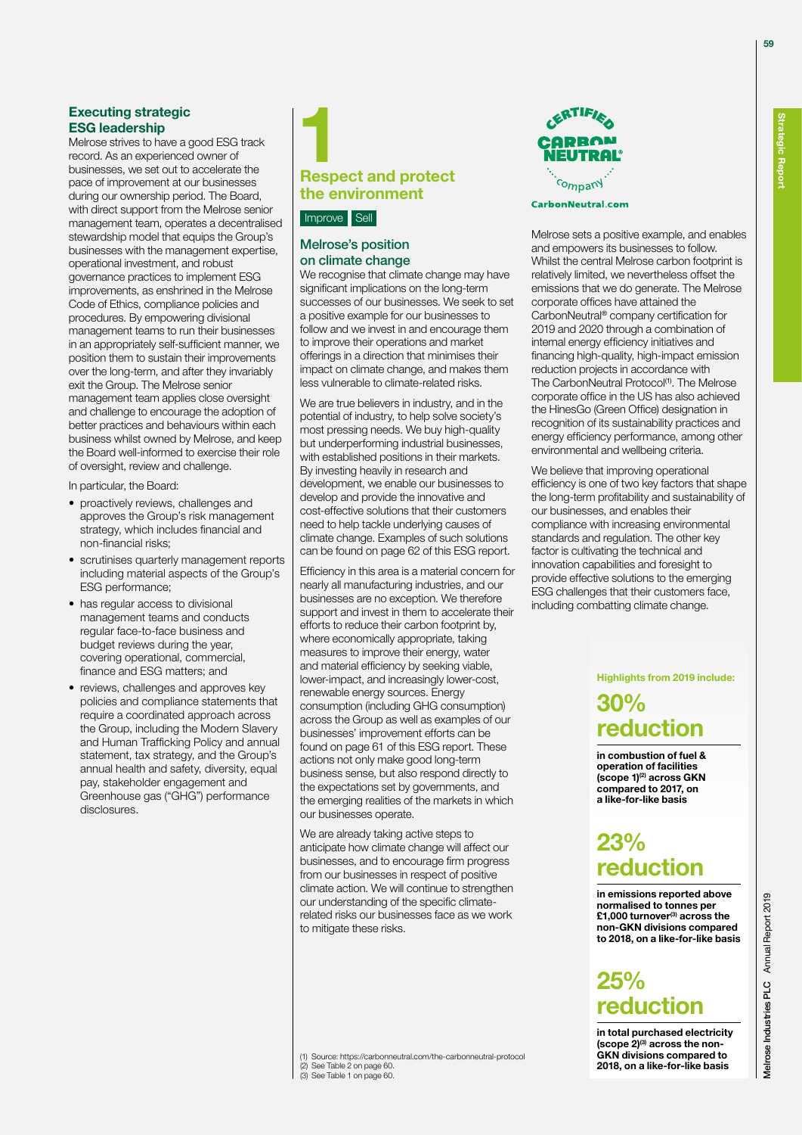### Executing strategic ESG leadership

Melrose strives to have a good ESG track record. As an experienced owner of businesses, we set out to accelerate the pace of improvement at our businesses during our ownership period. The Board, with direct support from the Melrose senior management team, operates a decentralised stewardship model that equips the Group's businesses with the management expertise, operational investment, and robust governance practices to implement ESG improvements, as enshrined in the Melrose Code of Ethics, compliance policies and procedures. By empowering divisional management teams to run their businesses in an appropriately self-sufficient manner, we position them to sustain their improvements over the long-term, and after they invariably exit the Group. The Melrose senior management team applies close oversight and challenge to encourage the adoption of better practices and behaviours within each business whilst owned by Melrose, and keep the Board well-informed to exercise their role of oversight, review and challenge.

In particular, the Board:

- proactively reviews, challenges and approves the Group's risk management strategy, which includes financial and non-financial risks;
- scrutinises quarterly management reports including material aspects of the Group's ESG performance;
- has regular access to divisional management teams and conducts regular face-to-face business and budget reviews during the year, covering operational, commercial, finance and ESG matters; and
- reviews, challenges and approves key policies and compliance statements that require a coordinated approach across the Group, including the Modern Slavery and Human Trafficking Policy and annual statement, tax strategy, and the Group's annual health and safety, diversity, equal pay, stakeholder engagement and Greenhouse gas ("GHG") performance disclosures.





### Melrose's position on climate change

We recognise that climate change may have significant implications on the long-term successes of our businesses. We seek to set a positive example for our businesses to follow and we invest in and encourage them to improve their operations and market offerings in a direction that minimises their impact on climate change, and makes them less vulnerable to climate-related risks.

We are true believers in industry, and in the potential of industry, to help solve society's most pressing needs. We buy high-quality but underperforming industrial businesses, with established positions in their markets. By investing heavily in research and development, we enable our businesses to develop and provide the innovative and cost-effective solutions that their customers need to help tackle underlying causes of climate change. Examples of such solutions can be found on page 62 of this ESG report.

Efficiency in this area is a material concern for nearly all manufacturing industries, and our businesses are no exception. We therefore support and invest in them to accelerate their efforts to reduce their carbon footprint by, where economically appropriate, taking measures to improve their energy, water and material efficiency by seeking viable, lower-impact, and increasingly lower-cost, renewable energy sources. Energy consumption (including GHG consumption) across the Group as well as examples of our businesses' improvement efforts can be found on page 61 of this ESG report. These actions not only make good long-term business sense, but also respond directly to the expectations set by governments, and the emerging realities of the markets in which our businesses operate.

We are already taking active steps to anticipate how climate change will affect our businesses, and to encourage firm progress from our businesses in respect of positive climate action. We will continue to strengthen our understanding of the specific climaterelated risks our businesses face as we work to mitigate these risks.

(1) Source: https://carbonneutral.com/the-carbonneutral-protocol

(2) See Table 2 on page 60. (3) See Table 1 on page 60.



**CarbonNeutral.com** 

Melrose sets a positive example, and enables and empowers its businesses to follow. Whilst the central Melrose carbon footprint is relatively limited, we nevertheless offset the emissions that we do generate. The Melrose corporate offices have attained the CarbonNeutral® company certification for 2019 and 2020 through a combination of internal energy efficiency initiatives and financing high-quality, high-impact emission reduction projects in accordance with The CarbonNeutral Protocol<sup>(1)</sup>. The Melrose corporate office in the US has also achieved the HinesGo (Green Office) designation in recognition of its sustainability practices and energy efficiency performance, among other environmental and wellbeing criteria.

We believe that improving operational efficiency is one of two key factors that shape the long-term profitability and sustainability of our businesses, and enables their compliance with increasing environmental standards and regulation. The other key factor is cultivating the technical and innovation capabilities and foresight to provide effective solutions to the emerging ESG challenges that their customers face, including combatting climate change.

Highlights from 2019 include:

## 30% reduction

in combustion of fuel & operation of facilities  $(scope 1)<sup>(2)</sup> across GKN$ compared to 2017, on a like-for-like basis

## 23% reduction

in emissions reported above normalised to tonnes per £1,000 turnover<sup>(3)</sup> across the non-GKN divisions compared to 2018, on a like-for-like basis

## 25% reduction

in total purchased electricity (scope  $2$ )<sup>(3)</sup> across the non-GKN divisions compared to 2018, on a like-for-like basis

59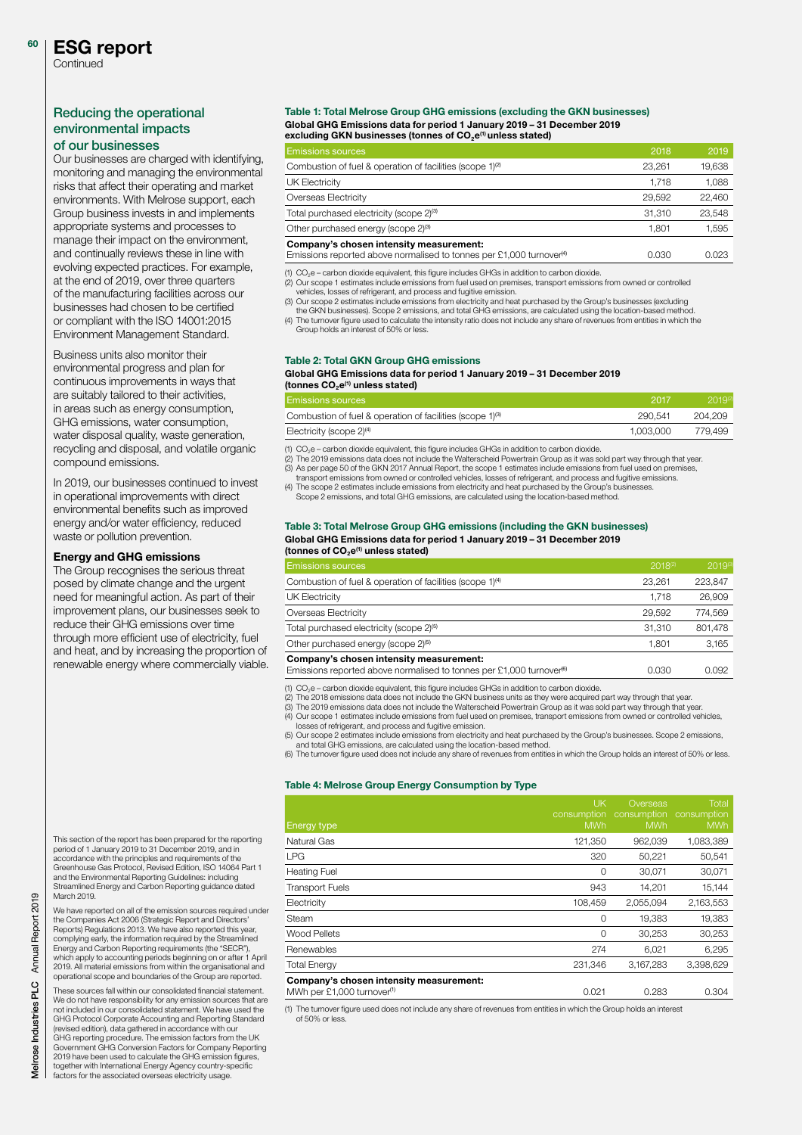#### ESG report  $60$

**Continued** 

### Reducing the operational environmental impacts of our businesses

Our businesses are charged with identifying, monitoring and managing the environmental risks that affect their operating and market environments. With Melrose support, each Group business invests in and implements appropriate systems and processes to manage their impact on the environment, and continually reviews these in line with evolving expected practices. For example, at the end of 2019, over three quarters of the manufacturing facilities across our businesses had chosen to be certified or compliant with the ISO 14001:2015 Environment Management Standard.

Business units also monitor their environmental progress and plan for continuous improvements in ways that are suitably tailored to their activities, in areas such as energy consumption, GHG emissions, water consumption, water disposal quality, waste generation, recycling and disposal, and volatile organic compound emissions.

In 2019, our businesses continued to invest in operational improvements with direct environmental benefits such as improved energy and/or water efficiency, reduced waste or pollution prevention.

### Energy and GHG emissions

The Group recognises the serious threat posed by climate change and the urgent need for meaningful action. As part of their improvement plans, our businesses seek to reduce their GHG emissions over time through more efficient use of electricity, fuel and heat, and by increasing the proportion of renewable energy where commercially viable.

### Table 1: Total Melrose Group GHG emissions (excluding the GKN businesses)

#### Global GHG Emissions data for period 1 January 2019 – 31 December 2019 excluding GKN businesses (tonnes of CO<sub>2</sub>e<sup>(1)</sup> unless stated)

| <b>Emissions sources</b>                                                         | 2018   | 2019   |
|----------------------------------------------------------------------------------|--------|--------|
| Combustion of fuel & operation of facilities (scope 1) <sup>(2)</sup>            | 23.261 | 19,638 |
| <b>UK Electricity</b>                                                            | 1.718  | 1,088  |
| Overseas Electricity                                                             | 29.592 | 22.460 |
| Total purchased electricity (scope 2) <sup>(3)</sup>                             | 31.310 | 23.548 |
| Other purchased energy (scope 2) <sup>(3)</sup>                                  | 1.801  | 1,595  |
| Company's chosen intensity measurement:                                          |        |        |
| Emissions reported above normalised to tonnes per £1,000 turnover <sup>(4)</sup> | 0.030  | 0.023  |

(1)  $CO_2e$  – carbon dioxide equivalent, this figure includes GHGs in addition to carbon dioxide.

- (2) Our scope 1 estimates include emissions from fuel used on premises, transport emissions from owned or controlled vehicles, losses of refrigerant, and process and fugitive emission.
- 3) Our scope 2 estimates include emissions from electricity and heat purchased by the Group's businesses (excluding)<br>the GKN businesses). Scope 2 emissions, and total GHG emissions, are calculated using the location-based

(4) The turnover figure used to calculate the intensity ratio does not include any share of revenues from entities in which the Group holds an interest of 50% or less.

### Table 2: Total GKN Group GHG emissions

#### Global GHG Emissions data for period 1 January 2019 – 31 December 2019 (tonnes  $CO<sub>2</sub>e<sup>(1)</sup>$  unless stated)

| <b>Emissions sources</b>                                              | 2017      | $2019^{2}$ |
|-----------------------------------------------------------------------|-----------|------------|
| Combustion of fuel & operation of facilities (scope 1) <sup>(3)</sup> | 290.541   | 204.209    |
| Electricity (scope $2)^{(4)}$                                         | 1.003.000 | 779.499    |

(1)  $CO_2e$  – carbon dioxide equivalent, this figure includes GHGs in addition to carbon dioxide.

(2) The 2019 emissions data does not include the Walterscheid Powertrain Group as it was sold part way through that year. (3) As per page 50 of the GKN 2017 Annual Report, the scope 1 estimates include emissions from fuel used on premises,

#### Table 3: Total Melrose Group GHG emissions (including the GKN businesses) Global GHG Emissions data for period 1 January 2019 – 31 December 2019 (tonnes of  $CO<sub>2</sub>e<sup>(1)</sup>$  unless stated)

| <b>Emissions sources</b>                                                        | $2018^{(2)}$ | 2019(3) |
|---------------------------------------------------------------------------------|--------------|---------|
| Combustion of fuel & operation of facilities (scope 1) <sup>(4)</sup>           | 23.261       | 223,847 |
| UK Electricity                                                                  | 1.718        | 26,909  |
| Overseas Electricity                                                            | 29.592       | 774,569 |
| Total purchased electricity (scope 2) <sup>(5)</sup>                            | 31.310       | 801.478 |
| Other purchased energy (scope 2) <sup>(5)</sup>                                 | 1.801        | 3,165   |
| Company's chosen intensity measurement:                                         |              |         |
| Emissions reported above normalised to tonnes per £1,000 turnover <sup>66</sup> | 0.030        | 0.092   |

(1)  $CO<sub>2</sub>e$  – carbon dioxide equivalent, this figure includes GHGs in addition to carbon dioxide

 $(2)$  The 2018 emissions data does not include the GKN business units as they were acquired part way through that year.

(3) The 2019 emissions data does not include the Walterscheid Powertrain Group as it was sold part way through that year. (4) Our scope 1 estimates include emissions from fuel used on premises, transport emissions from owned or controlled vehicles,

losses of refrigerant, and process and fugitive emission. (5) Our scope 2 estimates include emissions from electricity and heat purchased by the Group's businesses. Scope 2 emissions, and total GHG emissions, are calculated using the location-based method.

(6) The turnover figure used does not include any share of revenues from entities in which the Group holds an interest of 50% or less.

#### Table 4: Melrose Group Energy Consumption by Type

| Energy type                                                                       | UK<br>consumption<br><b>MWh</b> | Overseas<br>consumption<br><b>MWh</b> | Total<br>consumption<br><b>MWh</b> |
|-----------------------------------------------------------------------------------|---------------------------------|---------------------------------------|------------------------------------|
| Natural Gas                                                                       | 121,350                         | 962,039                               | 1,083,389                          |
| <b>LPG</b>                                                                        | 320                             | 50,221                                | 50,541                             |
| <b>Heating Fuel</b>                                                               | 0                               | 30.071                                | 30,071                             |
| <b>Transport Fuels</b>                                                            | 943                             | 14,201                                | 15,144                             |
| Electricity                                                                       | 108.459                         | 2.055.094                             | 2,163,553                          |
| Steam                                                                             | 0                               | 19,383                                | 19,383                             |
| Wood Pellets                                                                      | 0                               | 30.253                                | 30,253                             |
| Renewables                                                                        | 274                             | 6,021                                 | 6,295                              |
| <b>Total Energy</b>                                                               | 231.346                         | 3.167.283                             | 3.398.629                          |
| Company's chosen intensity measurement:<br>MWh per £1,000 turnover <sup>(1)</sup> | 0.021                           | 0.283                                 | 0.304                              |

(1) The turnover figure used does not include any share of revenues from entities in which the Group holds an interest of 50% or less.

This section of the report has been prepared for the reporting period of 1 January 2019 to 31 December 2019, and in accordance with the principles and requirements of the Greenhouse Gas Protocol, Revised Edition, ISO 14064 Part 1 and the Environmental Reporting Guidelines: including Streamlined Energy and Carbon Reporting guidance dated March 2019

We have reported on all of the emission sources required under the Companies Act 2006 (Strategic Report and Directors' Reports) Regulations 2013. We have also reported this year, complying early, the information required by the Streamlined Energy and Carbon Reporting requirements (the "SECR"), which apply to accounting periods beginning on or after 1 April 2019. All material emissions from within the organisational and operational scope and boundaries of the Group are reported.

These sources fall within our consolidated financial statement. We do not have responsibility for any emission sources that are not included in our consolidated statement. We have used the GHG Protocol Corporate Accounting and Reporting Standard (revised edition), data gathered in accordance with our GHG reporting procedure. The emission factors from the UK Government GHG Conversion Factors for Company Reporting 2019 have been used to calculate the GHG emission figures. together with International Energy Agency country-specific factors for the associated overseas electricity usage.

transport emissions from owned or controlled vehicles, losses of refrigerant, and process and fugitive emissions. (4) The scope 2 estimates include emissions from electricity and heat purchased by the Group's busi Scope 2 emissions, and total GHG emissions, are calculated using the location-based method.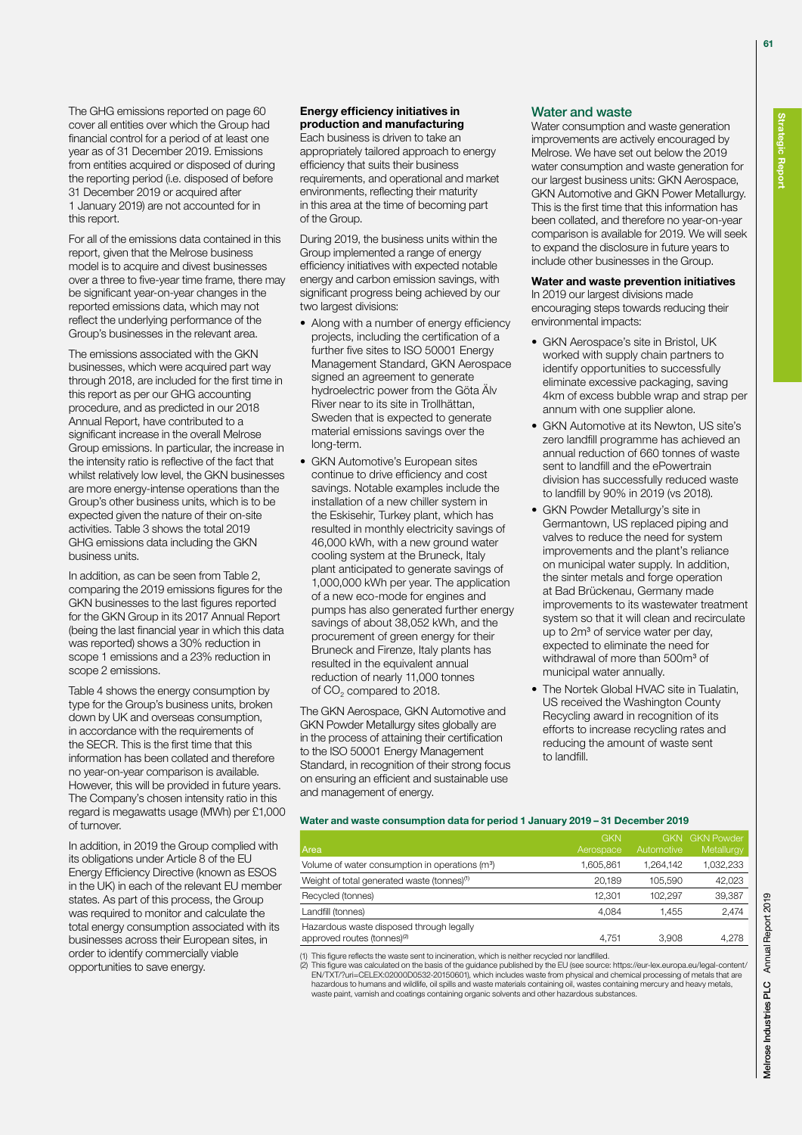The GHG emissions reported on page 60 cover all entities over which the Group had financial control for a period of at least one year as of 31 December 2019. Emissions from entities acquired or disposed of during the reporting period (i.e. disposed of before 31 December 2019 or acquired after 1 January 2019) are not accounted for in this report.

For all of the emissions data contained in this report, given that the Melrose business model is to acquire and divest businesses over a three to five-year time frame, there may be significant year-on-year changes in the reported emissions data, which may not reflect the underlying performance of the Group's businesses in the relevant area.

The emissions associated with the GKN businesses, which were acquired part way through 2018, are included for the first time in this report as per our GHG accounting procedure, and as predicted in our 2018 Annual Report, have contributed to a significant increase in the overall Melrose Group emissions. In particular, the increase in the intensity ratio is reflective of the fact that whilst relatively low level, the GKN businesses are more energy-intense operations than the Group's other business units, which is to be expected given the nature of their on-site activities. Table 3 shows the total 2019 GHG emissions data including the GKN business units.

In addition, as can be seen from Table 2, comparing the 2019 emissions figures for the GKN businesses to the last figures reported for the GKN Group in its 2017 Annual Report (being the last financial year in which this data was reported) shows a 30% reduction in scope 1 emissions and a 23% reduction in scope 2 emissions.

Table 4 shows the energy consumption by type for the Group's business units, broken down by UK and overseas consumption, in accordance with the requirements of the SECR. This is the first time that this information has been collated and therefore no year-on-year comparison is available. However, this will be provided in future years. The Company's chosen intensity ratio in this regard is megawatts usage (MWh) per £1,000 of turnover.

In addition, in 2019 the Group complied with its obligations under Article 8 of the EU Energy Efficiency Directive (known as ESOS in the UK) in each of the relevant EU member states. As part of this process, the Group was required to monitor and calculate the total energy consumption associated with its businesses across their European sites, in order to identify commercially viable opportunities to save energy.

### Energy efficiency initiatives in production and manufacturing

Each business is driven to take an appropriately tailored approach to energy efficiency that suits their business requirements, and operational and market environments, reflecting their maturity in this area at the time of becoming part of the Group.

During 2019, the business units within the Group implemented a range of energy efficiency initiatives with expected notable energy and carbon emission savings, with significant progress being achieved by our two largest divisions:

- Along with a number of energy efficiency projects, including the certification of a further five sites to ISO 50001 Energy Management Standard, GKN Aerospace signed an agreement to generate hydroelectric power from the Göta Älv River near to its site in Trollhättan, Sweden that is expected to generate material emissions savings over the long-term.
- GKN Automotive's European sites continue to drive efficiency and cost savings. Notable examples include the installation of a new chiller system in the Eskisehir, Turkey plant, which has resulted in monthly electricity savings of 46,000 kWh, with a new ground water cooling system at the Bruneck, Italy plant anticipated to generate savings of 1,000,000 kWh per year. The application of a new eco-mode for engines and pumps has also generated further energy savings of about 38,052 kWh, and the procurement of green energy for their Bruneck and Firenze, Italy plants has resulted in the equivalent annual reduction of nearly 11,000 tonnes of CO<sub>2</sub> compared to 2018.

The GKN Aerospace, GKN Automotive and GKN Powder Metallurgy sites globally are in the process of attaining their certification to the ISO 50001 Energy Management Standard, in recognition of their strong focus on ensuring an efficient and sustainable use and management of energy.

### Water and waste

Water consumption and waste generation improvements are actively encouraged by Melrose. We have set out below the 2019 water consumption and waste generation for our largest business units: GKN Aerospace, GKN Automotive and GKN Power Metallurgy. This is the first time that this information has been collated, and therefore no year-on-year comparison is available for 2019. We will seek to expand the disclosure in future years to include other businesses in the Group.

### Water and waste prevention initiatives

In 2019 our largest divisions made encouraging steps towards reducing their environmental impacts:

- GKN Aerospace's site in Bristol, UK worked with supply chain partners to identify opportunities to successfully eliminate excessive packaging, saving 4km of excess bubble wrap and strap per annum with one supplier alone.
- GKN Automotive at its Newton, US site's zero landfill programme has achieved an annual reduction of 660 tonnes of waste sent to landfill and the ePowertrain division has successfully reduced waste to landfill by 90% in 2019 (vs 2018).
- GKN Powder Metallurgy's site in Germantown, US replaced piping and valves to reduce the need for system improvements and the plant's reliance on municipal water supply. In addition, the sinter metals and forge operation at Bad Brückenau, Germany made improvements to its wastewater treatment system so that it will clean and recirculate up to 2m<sup>3</sup> of service water per day, expected to eliminate the need for withdrawal of more than 500m<sup>3</sup> of municipal water annually.
- The Nortek Global HVAC site in Tualatin, US received the Washington County Recycling award in recognition of its efforts to increase recycling rates and reducing the amount of waste sent to landfill.

### Water and waste consumption data for period 1 January 2019 – 31 December 2019

| <b>Area</b>                                                                         | <b>GKN</b><br>Aerospace, | <b>GKN</b><br>Automotive | <b>GKN</b> Powder<br>Metallurgy |
|-------------------------------------------------------------------------------------|--------------------------|--------------------------|---------------------------------|
| Volume of water consumption in operations (m <sup>3</sup> )                         | 1,605,861                | 1,264,142                | 1,032,233                       |
| Weight of total generated waste (tonnes) <sup>(1)</sup>                             | 20.189                   | 105.590                  | 42,023                          |
| Recycled (tonnes)                                                                   | 12.301                   | 102.297                  | 39,387                          |
| Landfill (tonnes)                                                                   | 4.084                    | 1.455                    | 2,474                           |
| Hazardous waste disposed through legally<br>approved routes (tonnes) <sup>(2)</sup> | 4.751                    | 3.908                    | 4.278                           |

(1) This figure reflects the waste sent to incineration, which is neither recycled nor landfilled.<br>(2) This figure was calculated on the basis of the guidance published by the EU (see source: https://eur-lex.europa.eu/lega EN/TXT/?uri=CELEX:02000D0532-20150601), which includes waste from physical and chemical processing of metals that are hazardous to humans and wildlife, oil spills and waste materials containing oil, wastes containing mercury and heavy metals, waste paint, varnish and coatings containing organic solvents and other hazardous substances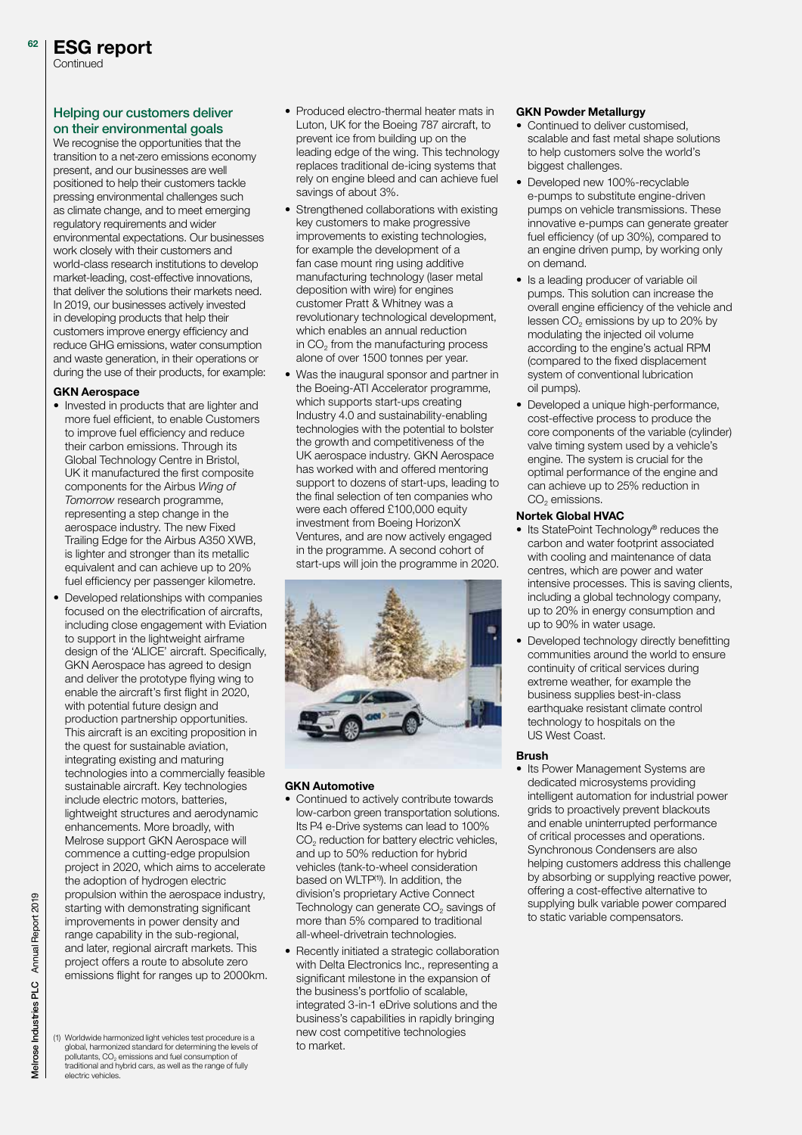### Helping our customers deliver on their environmental goals

ESG report

**Continued** 

62

We recognise the opportunities that the transition to a net-zero emissions economy present, and our businesses are well positioned to help their customers tackle pressing environmental challenges such as climate change, and to meet emerging regulatory requirements and wider environmental expectations. Our businesses work closely with their customers and world-class research institutions to develop market-leading, cost-effective innovations, that deliver the solutions their markets need. In 2019, our businesses actively invested in developing products that help their customers improve energy efficiency and reduce GHG emissions, water consumption and waste generation, in their operations or during the use of their products, for example:

### GKN Aerospace

- Invested in products that are lighter and more fuel efficient, to enable Customers to improve fuel efficiency and reduce their carbon emissions. Through its Global Technology Centre in Bristol, UK it manufactured the first composite components for the Airbus *Wing of Tomorrow* research programme, representing a step change in the aerospace industry. The new Fixed Trailing Edge for the Airbus A350 XWB, is lighter and stronger than its metallic equivalent and can achieve up to 20% fuel efficiency per passenger kilometre.
- Developed relationships with companies focused on the electrification of aircrafts, including close engagement with Eviation to support in the lightweight airframe design of the 'ALICE' aircraft. Specifically, GKN Aerospace has agreed to design and deliver the prototype flying wing to enable the aircraft's first flight in 2020, with potential future design and production partnership opportunities. This aircraft is an exciting proposition in the quest for sustainable aviation, integrating existing and maturing technologies into a commercially feasible sustainable aircraft. Key technologies include electric motors, batteries, lightweight structures and aerodynamic enhancements. More broadly, with Melrose support GKN Aerospace will commence a cutting-edge propulsion project in 2020, which aims to accelerate the adoption of hydrogen electric propulsion within the aerospace industry, starting with demonstrating significant improvements in power density and range capability in the sub-regional, and later, regional aircraft markets. This project offers a route to absolute zero emissions flight for ranges up to 2000km.

(1) Worldwide harmonized light vehicles test procedure is a global, harmonized standard for determining the levels of<br>pollutants, CO<sub>2</sub> emissions and fuel consumption of traditional and hybrid cars, as well as the range of fully electric vehicles.

- Produced electro-thermal heater mats in Luton, UK for the Boeing 787 aircraft, to prevent ice from building up on the leading edge of the wing. This technology replaces traditional de-icing systems that rely on engine bleed and can achieve fuel savings of about 3%.
- Strengthened collaborations with existing key customers to make progressive improvements to existing technologies, for example the development of a fan case mount ring using additive manufacturing technology (laser metal deposition with wire) for engines customer Pratt & Whitney was a revolutionary technological development, which enables an annual reduction in CO<sub>2</sub> from the manufacturing process alone of over 1500 tonnes per year.
- Was the inaugural sponsor and partner in the Boeing-ATI Accelerator programme, which supports start-ups creating Industry 4.0 and sustainability-enabling technologies with the potential to bolster the growth and competitiveness of the UK aerospace industry. GKN Aerospace has worked with and offered mentoring support to dozens of start-ups, leading to the final selection of ten companies who were each offered £100,000 equity investment from Boeing HorizonX Ventures, and are now actively engaged in the programme. A second cohort of start-ups will join the programme in 2020.



### GKN Automotive

- Continued to actively contribute towards low-carbon green transportation solutions. Its P4 e-Drive systems can lead to 100% CO<sub>2</sub> reduction for battery electric vehicles, and up to 50% reduction for hybrid vehicles (tank-to-wheel consideration based on WLTP(1)). In addition, the division's proprietary Active Connect Technology can generate  $CO<sub>2</sub>$  savings of more than 5% compared to traditional all-wheel-drivetrain technologies.
- Recently initiated a strategic collaboration with Delta Electronics Inc., representing a significant milestone in the expansion of the business's portfolio of scalable, integrated 3-in-1 eDrive solutions and the business's capabilities in rapidly bringing new cost competitive technologies to market.

### GKN Powder Metallurgy

- Continued to deliver customised, scalable and fast metal shape solutions to help customers solve the world's biggest challenges.
- Developed new 100%-recyclable e-pumps to substitute engine-driven pumps on vehicle transmissions. These innovative e-pumps can generate greater fuel efficiency (of up 30%), compared to an engine driven pump, by working only on demand.
- Is a leading producer of variable oil pumps. This solution can increase the overall engine efficiency of the vehicle and lessen CO<sub>2</sub> emissions by up to 20% by modulating the injected oil volume according to the engine's actual RPM (compared to the fixed displacement system of conventional lubrication oil pumps).
- Developed a unique high-performance, cost-effective process to produce the core components of the variable (cylinder) valve timing system used by a vehicle's engine. The system is crucial for the optimal performance of the engine and can achieve up to 25% reduction in CO<sub>2</sub> emissions.

### Nortek Global HVAC

- Its StatePoint Technology® reduces the carbon and water footprint associated with cooling and maintenance of data centres, which are power and water intensive processes. This is saving clients, including a global technology company, up to 20% in energy consumption and up to 90% in water usage.
- Developed technology directly benefitting communities around the world to ensure continuity of critical services during extreme weather, for example the business supplies best-in-class earthquake resistant climate control technology to hospitals on the US West Coast.

### Brush

• Its Power Management Systems are dedicated microsystems providing intelligent automation for industrial power grids to proactively prevent blackouts and enable uninterrupted performance of critical processes and operations. Synchronous Condensers are also helping customers address this challenge by absorbing or supplying reactive power, offering a cost-effective alternative to supplying bulk variable power compared to static variable compensators.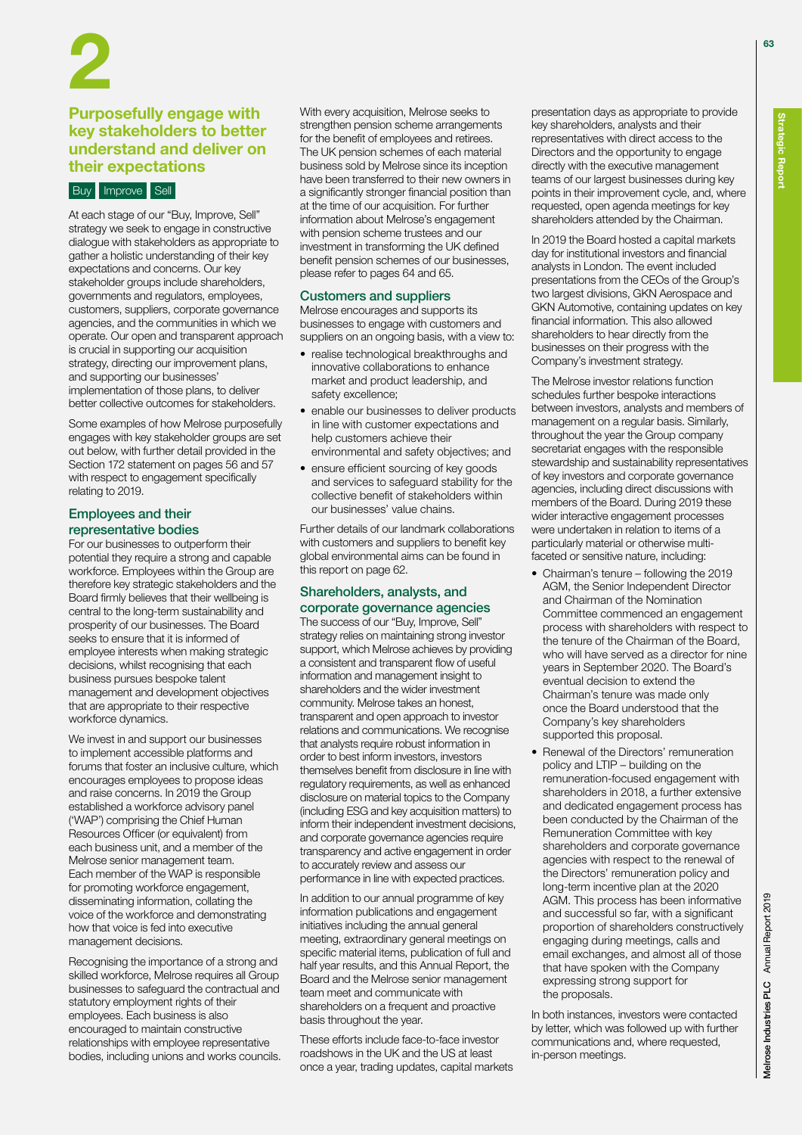### Purposefully engage with key stakeholders to better understand and deliver on their expectations

### Buy Improve Sell

At each stage of our "Buy, Improve, Sell" strategy we seek to engage in constructive dialogue with stakeholders as appropriate to gather a holistic understanding of their key expectations and concerns. Our key stakeholder groups include shareholders, governments and regulators, employees, customers, suppliers, corporate governance agencies, and the communities in which we operate. Our open and transparent approach is crucial in supporting our acquisition strategy, directing our improvement plans, and supporting our businesses' implementation of those plans, to deliver better collective outcomes for stakeholders.

Some examples of how Melrose purposefully engages with key stakeholder groups are set out below, with further detail provided in the Section 172 statement on pages 56 and 57 with respect to engagement specifically relating to 2019.

### Employees and their representative bodies

For our businesses to outperform their potential they require a strong and capable workforce. Employees within the Group are therefore key strategic stakeholders and the Board firmly believes that their wellbeing is central to the long-term sustainability and prosperity of our businesses. The Board seeks to ensure that it is informed of employee interests when making strategic decisions, whilst recognising that each business pursues bespoke talent management and development objectives that are appropriate to their respective workforce dynamics.

We invest in and support our businesses to implement accessible platforms and forums that foster an inclusive culture, which encourages employees to propose ideas and raise concerns. In 2019 the Group established a workforce advisory panel ('WAP') comprising the Chief Human Resources Officer (or equivalent) from each business unit, and a member of the Melrose senior management team. Each member of the WAP is responsible for promoting workforce engagement, disseminating information, collating the voice of the workforce and demonstrating how that voice is fed into executive management decisions.

Recognising the importance of a strong and skilled workforce, Melrose requires all Group businesses to safeguard the contractual and statutory employment rights of their employees. Each business is also encouraged to maintain constructive relationships with employee representative bodies, including unions and works councils. With every acquisition, Melrose seeks to strengthen pension scheme arrangements for the benefit of employees and retirees. The UK pension schemes of each material business sold by Melrose since its inception have been transferred to their new owners in a significantly stronger financial position than at the time of our acquisition. For further information about Melrose's engagement with pension scheme trustees and our investment in transforming the UK defined benefit pension schemes of our businesses, please refer to pages 64 and 65.

### Customers and suppliers

Melrose encourages and supports its businesses to engage with customers and suppliers on an ongoing basis, with a view to:

- realise technological breakthroughs and innovative collaborations to enhance market and product leadership, and safety excellence;
- enable our businesses to deliver products in line with customer expectations and help customers achieve their environmental and safety objectives; and
- ensure efficient sourcing of key goods and services to safeguard stability for the collective benefit of stakeholders within our businesses' value chains.

Further details of our landmark collaborations with customers and suppliers to benefit key global environmental aims can be found in this report on page 62.

### Shareholders, analysts, and corporate governance agencies

The success of our "Buy, Improve, Sell" strategy relies on maintaining strong investor support, which Melrose achieves by providing a consistent and transparent flow of useful information and management insight to shareholders and the wider investment community. Melrose takes an honest, transparent and open approach to investor relations and communications. We recognise that analysts require robust information in order to best inform investors, investors themselves benefit from disclosure in line with regulatory requirements, as well as enhanced disclosure on material topics to the Company (including ESG and key acquisition matters) to inform their independent investment decisions, and corporate governance agencies require transparency and active engagement in order to accurately review and assess our performance in line with expected practices.

In addition to our annual programme of key information publications and engagement initiatives including the annual general meeting, extraordinary general meetings on specific material items, publication of full and half year results, and this Annual Report, the Board and the Melrose senior management team meet and communicate with shareholders on a frequent and proactive basis throughout the year.

These efforts include face-to-face investor roadshows in the UK and the US at least once a year, trading updates, capital markets presentation days as appropriate to provide key shareholders, analysts and their representatives with direct access to the Directors and the opportunity to engage directly with the executive management teams of our largest businesses during key points in their improvement cycle, and, where requested, open agenda meetings for key shareholders attended by the Chairman.

In 2019 the Board hosted a capital markets day for institutional investors and financial analysts in London. The event included presentations from the CEOs of the Group's two largest divisions, GKN Aerospace and GKN Automotive, containing updates on key financial information. This also allowed shareholders to hear directly from the businesses on their progress with the Company's investment strategy.

The Melrose investor relations function schedules further bespoke interactions between investors, analysts and members of management on a regular basis. Similarly, throughout the year the Group company secretariat engages with the responsible stewardship and sustainability representatives of key investors and corporate governance agencies, including direct discussions with members of the Board. During 2019 these wider interactive engagement processes were undertaken in relation to items of a particularly material or otherwise multifaceted or sensitive nature, including:

- Chairman's tenure following the 2019 AGM, the Senior Independent Director and Chairman of the Nomination Committee commenced an engagement process with shareholders with respect to the tenure of the Chairman of the Board, who will have served as a director for nine years in September 2020. The Board's eventual decision to extend the Chairman's tenure was made only once the Board understood that the Company's key shareholders supported this proposal.
- Renewal of the Directors' remuneration policy and LTIP – building on the remuneration-focused engagement with shareholders in 2018, a further extensive and dedicated engagement process has been conducted by the Chairman of the Remuneration Committee with key shareholders and corporate governance agencies with respect to the renewal of the Directors' remuneration policy and long-term incentive plan at the 2020 AGM. This process has been informative and successful so far, with a significant proportion of shareholders constructively engaging during meetings, calls and email exchanges, and almost all of those that have spoken with the Company expressing strong support for the proposals.

In both instances, investors were contacted by letter, which was followed up with further communications and, where requested, in-person meetings.

63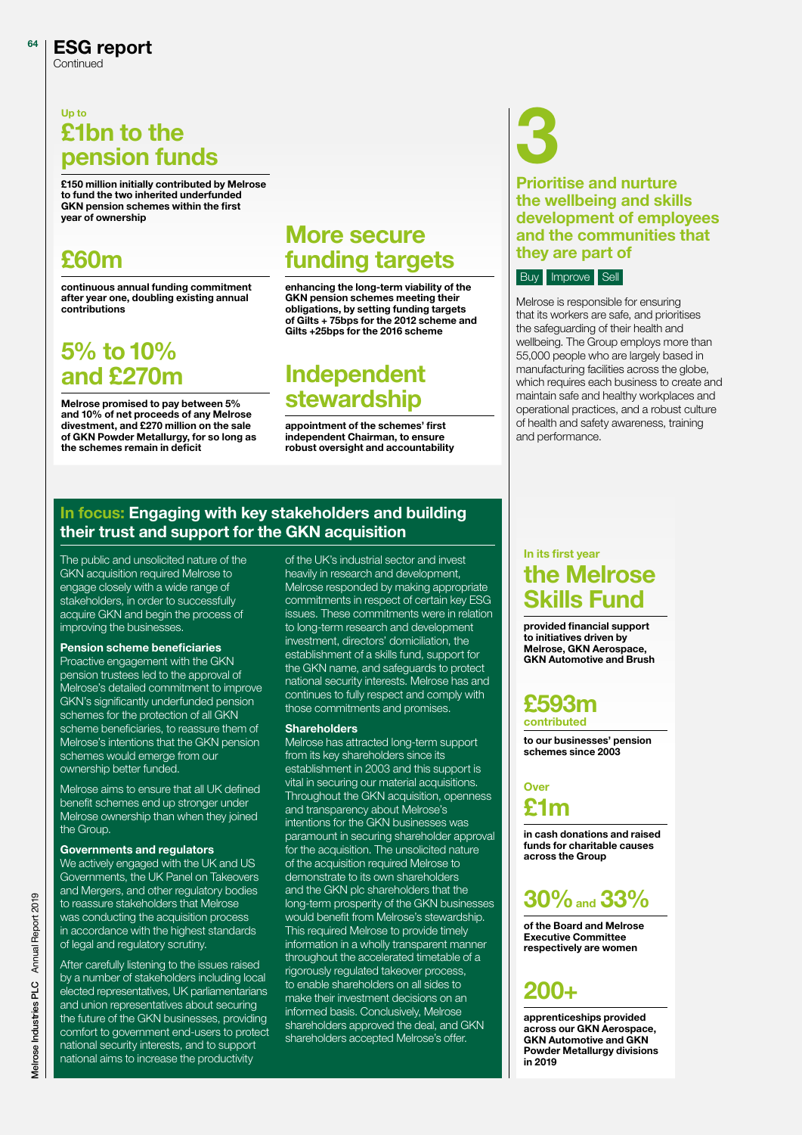### ESG report 64

**Continued** 

## $\frac{2}{2}$ <br> $\frac{2}{3}$ <br> $\frac{1}{3}$ <br> $\frac{1}{3}$ <br> $\frac{1}{3}$ £1bn to the pension funds

£150 million initially contributed by Melrose to fund the two inherited underfunded GKN pension schemes within the first year of ownership

## £60m

continuous annual funding commitment after year one, doubling existing annual contributions

## 5% to 10% and £270m

Melrose promised to pay between 5% and 10% of net proceeds of any Melrose divestment, and £270 million on the sale of GKN Powder Metallurgy, for so long as the schemes remain in deficit

## More secure funding targets

enhancing the long-term viability of the GKN pension schemes meeting their obligations, by setting funding targets of Gilts + 75bps for the 2012 scheme and Gilts +25bps for the 2016 scheme

## Independent stewardship

appointment of the schemes' first independent Chairman, to ensure robust oversight and accountability

### In focus: Engaging with key stakeholders and building their trust and support for the GKN acquisition

The public and unsolicited nature of the GKN acquisition required Melrose to engage closely with a wide range of stakeholders, in order to successfully acquire GKN and begin the process of improving the businesses.

### Pension scheme beneficiaries

Proactive engagement with the GKN pension trustees led to the approval of Melrose's detailed commitment to improve GKN's significantly underfunded pension schemes for the protection of all GKN scheme beneficiaries, to reassure them of Melrose's intentions that the GKN pension schemes would emerge from our ownership better funded.

Melrose aims to ensure that all UK defined benefit schemes end up stronger under Melrose ownership than when they joined the Group.

### Governments and regulators

We actively engaged with the UK and US Governments, the UK Panel on Takeovers and Mergers, and other regulatory bodies to reassure stakeholders that Melrose was conducting the acquisition process in accordance with the highest standards of legal and regulatory scrutiny.

After carefully listening to the issues raised by a number of stakeholders including local elected representatives, UK parliamentarians and union representatives about securing the future of the GKN businesses, providing comfort to government end-users to protect national security interests, and to support national aims to increase the productivity

of the UK's industrial sector and invest heavily in research and development, Melrose responded by making appropriate commitments in respect of certain key ESG issues. These commitments were in relation to long-term research and development investment, directors' domiciliation, the establishment of a skills fund, support for the GKN name, and safeguards to protect national security interests. Melrose has and continues to fully respect and comply with those commitments and promises.

### **Shareholders**

Melrose has attracted long-term support from its key shareholders since its establishment in 2003 and this support is vital in securing our material acquisitions. Throughout the GKN acquisition, openness and transparency about Melrose's intentions for the GKN businesses was paramount in securing shareholder approval for the acquisition. The unsolicited nature of the acquisition required Melrose to demonstrate to its own shareholders and the GKN plc shareholders that the long-term prosperity of the GKN businesses would benefit from Melrose's stewardship. This required Melrose to provide timely information in a wholly transparent manner throughout the accelerated timetable of a rigorously regulated takeover process, to enable shareholders on all sides to make their investment decisions on an informed basis. Conclusively, Melrose shareholders approved the deal, and GKN shareholders accepted Melrose's offer.

## Prioritise and nurture the wellbeing and skills development of employees and the communities that

### **Buy** Improve Sell

they are part of

Melrose is responsible for ensuring that its workers are safe, and prioritises the safeguarding of their health and wellbeing. The Group employs more than 55,000 people who are largely based in manufacturing facilities across the globe, which requires each business to create and maintain safe and healthy workplaces and operational practices, and a robust culture of health and safety awareness, training and performance.

### In its first year the Melrose Skills Fund

provided financial support to initiatives driven by Melrose, GKN Aerospace, GKN Automotive and Brush

### £593m contributed

to our businesses' pension schemes since 2003

**Over** £1m

in cash donations and raised funds for charitable causes across the Group

## 30%and 33%

of the Board and Melrose Executive Committee respectively are women

## 200+

apprenticeships provided across our GKN Aerospace, GKN Automotive and GKN Powder Metallurgy divisions in 2019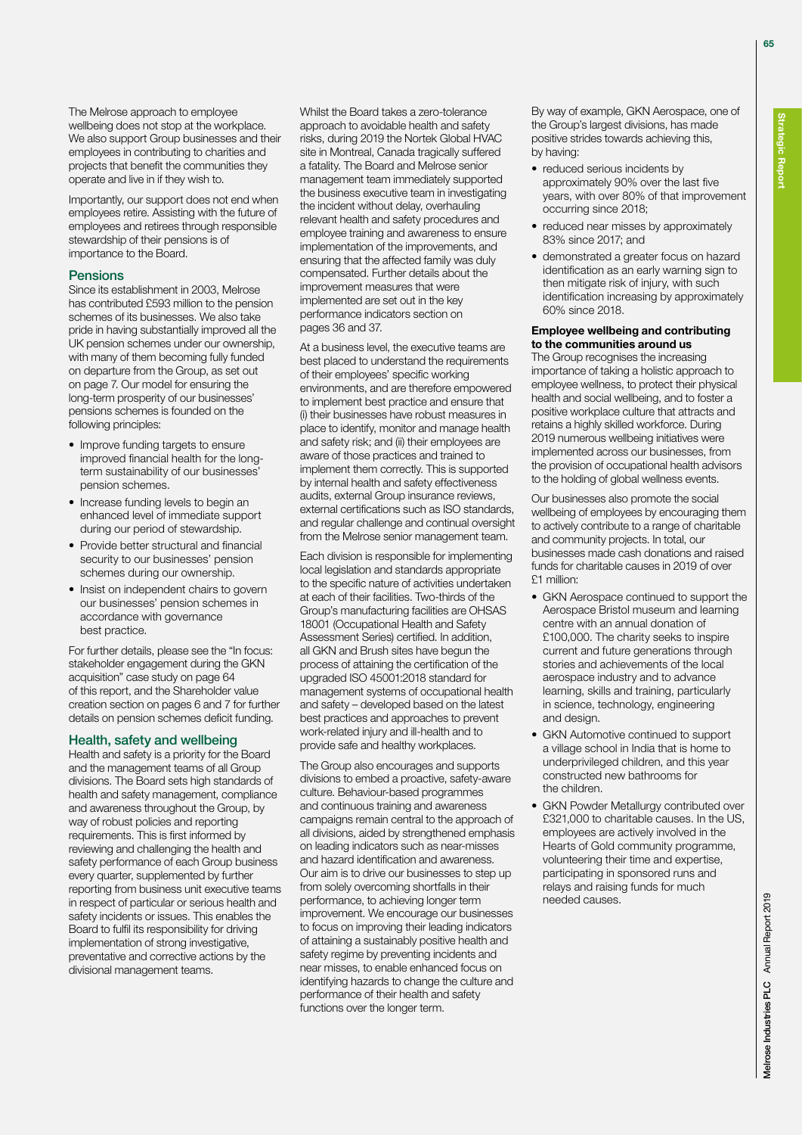65

The Melrose approach to employee wellbeing does not stop at the workplace. We also support Group businesses and their employees in contributing to charities and projects that benefit the communities they operate and live in if they wish to.

Importantly, our support does not end when employees retire. Assisting with the future of employees and retirees through responsible stewardship of their pensions is of importance to the Board.

### Pensions

Since its establishment in 2003, Melrose has contributed £593 million to the pension schemes of its businesses. We also take pride in having substantially improved all the UK pension schemes under our ownership, with many of them becoming fully funded on departure from the Group, as set out on page 7. Our model for ensuring the long-term prosperity of our businesses' pensions schemes is founded on the following principles:

- Improve funding targets to ensure improved financial health for the longterm sustainability of our businesses' pension schemes.
- Increase funding levels to begin an enhanced level of immediate support during our period of stewardship.
- Provide better structural and financial security to our businesses' pension schemes during our ownership.
- Insist on independent chairs to govern our businesses' pension schemes in accordance with governance best practice.

For further details, please see the "In focus: stakeholder engagement during the GKN acquisition" case study on page 64 of this report, and the Shareholder value creation section on pages 6 and 7 for further details on pension schemes deficit funding.

### Health, safety and wellbeing

Health and safety is a priority for the Board and the management teams of all Group divisions. The Board sets high standards of health and safety management, compliance and awareness throughout the Group, by way of robust policies and reporting requirements. This is first informed by reviewing and challenging the health and safety performance of each Group business every quarter, supplemented by further reporting from business unit executive teams in respect of particular or serious health and safety incidents or issues. This enables the Board to fulfil its responsibility for driving implementation of strong investigative, preventative and corrective actions by the divisional management teams.

Whilst the Board takes a zero-tolerance approach to avoidable health and safety risks, during 2019 the Nortek Global HVAC site in Montreal, Canada tragically suffered a fatality. The Board and Melrose senior management team immediately supported the business executive team in investigating the incident without delay, overhauling relevant health and safety procedures and employee training and awareness to ensure implementation of the improvements, and ensuring that the affected family was duly compensated. Further details about the improvement measures that were implemented are set out in the key performance indicators section on pages 36 and 37.

At a business level, the executive teams are best placed to understand the requirements of their employees' specific working environments, and are therefore empowered to implement best practice and ensure that (i) their businesses have robust measures in place to identify, monitor and manage health and safety risk; and (ii) their employees are aware of those practices and trained to implement them correctly. This is supported by internal health and safety effectiveness audits, external Group insurance reviews, external certifications such as ISO standards, and regular challenge and continual oversight from the Melrose senior management team.

Each division is responsible for implementing local legislation and standards appropriate to the specific nature of activities undertaken at each of their facilities. Two-thirds of the Group's manufacturing facilities are OHSAS 18001 (Occupational Health and Safety Assessment Series) certified. In addition, all GKN and Brush sites have begun the process of attaining the certification of the upgraded ISO 45001:2018 standard for management systems of occupational health and safety – developed based on the latest best practices and approaches to prevent work-related injury and ill-health and to provide safe and healthy workplaces.

The Group also encourages and supports divisions to embed a proactive, safety-aware culture. Behaviour-based programmes and continuous training and awareness campaigns remain central to the approach of all divisions, aided by strengthened emphasis on leading indicators such as near-misses and hazard identification and awareness. Our aim is to drive our businesses to step up from solely overcoming shortfalls in their performance, to achieving longer term improvement. We encourage our businesses to focus on improving their leading indicators of attaining a sustainably positive health and safety regime by preventing incidents and near misses, to enable enhanced focus on identifying hazards to change the culture and performance of their health and safety functions over the longer term.

By way of example, GKN Aerospace, one of the Group's largest divisions, has made positive strides towards achieving this, by having:

- reduced serious incidents by approximately 90% over the last five years, with over 80% of that improvement occurring since 2018;
- reduced near misses by approximately 83% since 2017; and
- demonstrated a greater focus on hazard identification as an early warning sign to then mitigate risk of injury, with such identification increasing by approximately 60% since 2018.

### Employee wellbeing and contributing to the communities around us

The Group recognises the increasing importance of taking a holistic approach to employee wellness, to protect their physical health and social wellbeing, and to foster a positive workplace culture that attracts and retains a highly skilled workforce. During 2019 numerous wellbeing initiatives were implemented across our businesses, from the provision of occupational health advisors to the holding of global wellness events.

Our businesses also promote the social wellbeing of employees by encouraging them to actively contribute to a range of charitable and community projects. In total, our businesses made cash donations and raised funds for charitable causes in 2019 of over £1 million:

- GKN Aerospace continued to support the Aerospace Bristol museum and learning centre with an annual donation of £100,000. The charity seeks to inspire current and future generations through stories and achievements of the local aerospace industry and to advance learning, skills and training, particularly in science, technology, engineering and design.
- GKN Automotive continued to support a village school in India that is home to underprivileged children, and this year constructed new bathrooms for the children.
- GKN Powder Metallurgy contributed over £321,000 to charitable causes. In the US, employees are actively involved in the Hearts of Gold community programme, volunteering their time and expertise, participating in sponsored runs and relays and raising funds for much needed causes.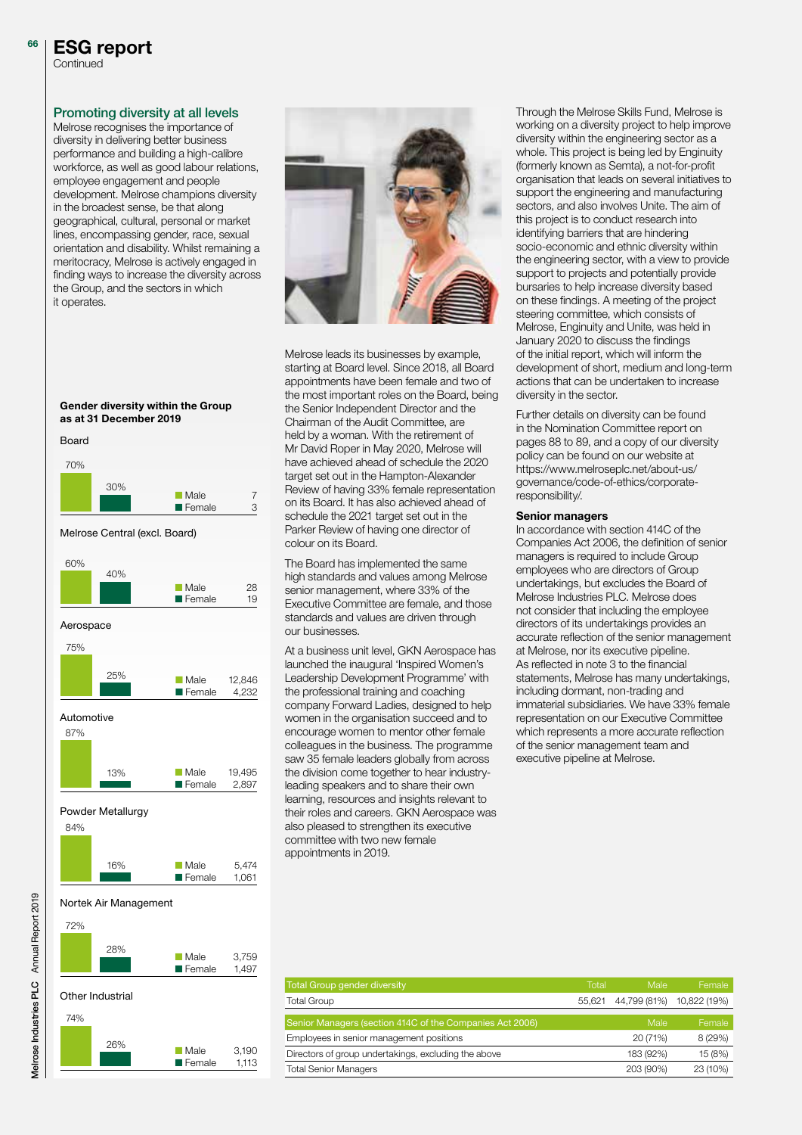#### ESG report 66

**Continued** 

### Promoting diversity at all levels

Melrose recognises the importance of diversity in delivering better business performance and building a high-calibre workforce, as well as good labour relations, employee engagement and people development. Melrose champions diversity in the broadest sense, be that along geographical, cultural, personal or market lines, encompassing gender, race, sexual orientation and disability. Whilst remaining a meritocracy, Melrose is actively engaged in finding ways to increase the diversity across the Group, and the sectors in which it operates.

### Gender diversity within the Group as at 31 December 2019

Board



Melrose Central (excl. Board)





#### Nortek Air Management





Melrose leads its businesses by example, starting at Board level. Since 2018, all Board appointments have been female and two of the most important roles on the Board, being the Senior Independent Director and the Chairman of the Audit Committee, are held by a woman. With the retirement of Mr David Roper in May 2020, Melrose will have achieved ahead of schedule the 2020 target set out in the Hampton-Alexander Review of having 33% female representation on its Board. It has also achieved ahead of schedule the 2021 target set out in the Parker Review of having one director of colour on its Board.

The Board has implemented the same high standards and values among Melrose senior management, where 33% of the Executive Committee are female, and those standards and values are driven through our businesses.

At a business unit level, GKN Aerospace has launched the inaugural 'Inspired Women's Leadership Development Programme' with the professional training and coaching company Forward Ladies, designed to help women in the organisation succeed and to encourage women to mentor other female colleagues in the business. The programme saw 35 female leaders globally from across the division come together to hear industryleading speakers and to share their own learning, resources and insights relevant to their roles and careers. GKN Aerospace was also pleased to strengthen its executive committee with two new female appointments in 2019.

Through the Melrose Skills Fund, Melrose is working on a diversity project to help improve diversity within the engineering sector as a whole. This project is being led by Enginuity (formerly known as Semta), a not-for-profit organisation that leads on several initiatives to support the engineering and manufacturing sectors, and also involves Unite. The aim of this project is to conduct research into identifying barriers that are hindering socio-economic and ethnic diversity within the engineering sector, with a view to provide support to projects and potentially provide bursaries to help increase diversity based on these findings. A meeting of the project steering committee, which consists of Melrose, Enginuity and Unite, was held in January 2020 to discuss the findings of the initial report, which will inform the development of short, medium and long-term actions that can be undertaken to increase diversity in the sector.

Further details on diversity can be found in the Nomination Committee report on pages 88 to 89, and a copy of our diversity policy can be found on our website at [https://www.melroseplc.net/about-us/](https://www.melroseplc.net/about-us/governance/code-of-ethics/corporate-responsibility/) [governance/code-of-ethics/corporate](https://www.melroseplc.net/about-us/governance/code-of-ethics/corporate-responsibility/)[responsibility/](https://www.melroseplc.net/about-us/governance/code-of-ethics/corporate-responsibility/).

#### Senior managers

In accordance with section 414C of the Companies Act 2006, the definition of senior managers is required to include Group employees who are directors of Group undertakings, but excludes the Board of Melrose Industries PLC. Melrose does not consider that including the employee directors of its undertakings provides an accurate reflection of the senior management at Melrose, nor its executive pipeline. As reflected in note 3 to the financial statements, Melrose has many undertakings, including dormant, non-trading and immaterial subsidiaries. We have 33% female representation on our Executive Committee which represents a more accurate reflection of the senior management team and executive pipeline at Melrose.

| <b>Total Group gender diversity</b>                      | Total  | Male         | Female       |
|----------------------------------------------------------|--------|--------------|--------------|
| <b>Total Group</b>                                       | 55.621 | 44,799 (81%) | 10,822 (19%) |
|                                                          |        | Male         | Female       |
| Senior Managers (section 414C of the Companies Act 2006) |        |              |              |
| Employees in senior management positions                 |        | 20 (71%)     | 8 (29%)      |
| Directors of group undertakings, excluding the above     |        | 183 (92%)    | 15 (8%)      |
| <b>Total Senior Managers</b>                             |        | 203 (90%)    | 23 (10%)     |

Annual Report 2019 Melrose Industries PLC Annual Report 2019 *<u>Aelrose</u>* Industries PLC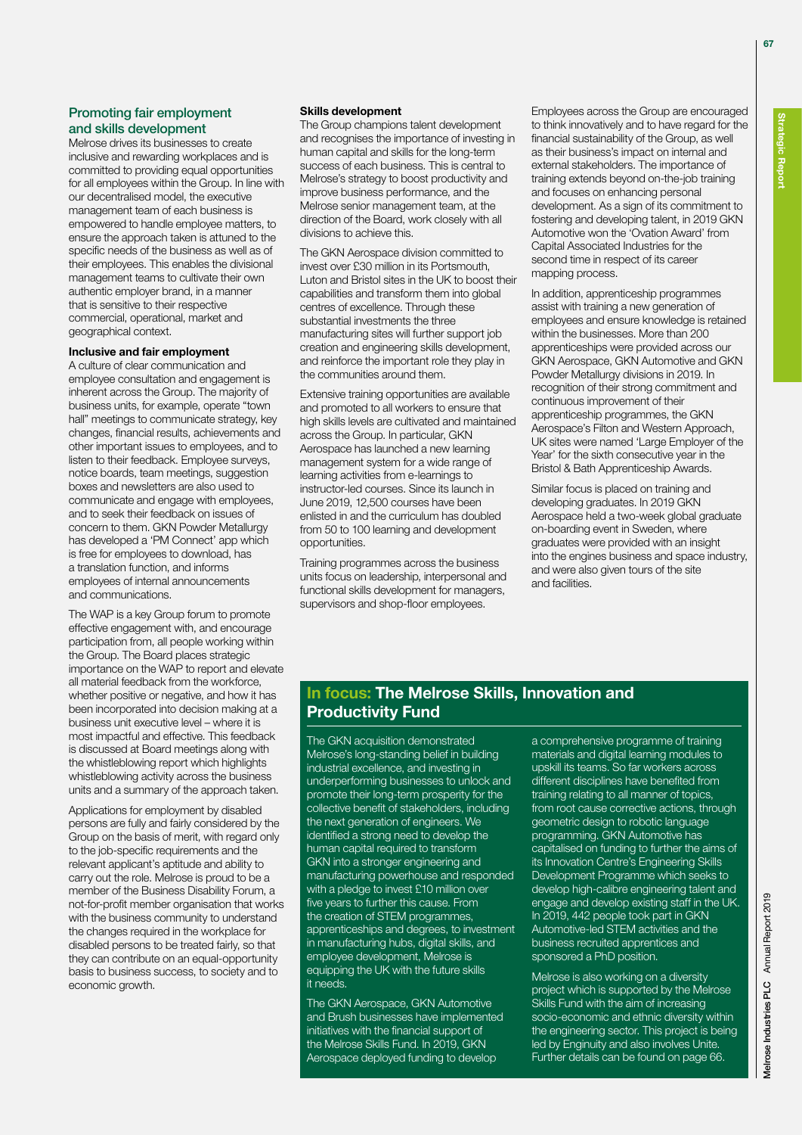Strategic Report

**Strategic Report** 

Melrose drives its businesses to create inclusive and rewarding workplaces and is committed to providing equal opportunities for all employees within the Group. In line with our decentralised model, the executive management team of each business is empowered to handle employee matters, to ensure the approach taken is attuned to the specific needs of the business as well as of their employees. This enables the divisional management teams to cultivate their own authentic employer brand, in a manner that is sensitive to their respective commercial, operational, market and geographical context.

### Inclusive and fair employment

A culture of clear communication and employee consultation and engagement is inherent across the Group. The majority of business units, for example, operate "town hall" meetings to communicate strategy, key changes, financial results, achievements and other important issues to employees, and to listen to their feedback. Employee surveys, notice boards, team meetings, suggestion boxes and newsletters are also used to communicate and engage with employees, and to seek their feedback on issues of concern to them. GKN Powder Metallurgy has developed a 'PM Connect' app which is free for employees to download, has a translation function, and informs employees of internal announcements and communications.

The WAP is a key Group forum to promote effective engagement with, and encourage participation from, all people working within the Group. The Board places strategic importance on the WAP to report and elevate all material feedback from the workforce, whether positive or negative, and how it has been incorporated into decision making at a business unit executive level – where it is most impactful and effective. This feedback is discussed at Board meetings along with the whistleblowing report which highlights whistleblowing activity across the business units and a summary of the approach taken.

Applications for employment by disabled persons are fully and fairly considered by the Group on the basis of merit, with regard only to the job-specific requirements and the relevant applicant's aptitude and ability to carry out the role. Melrose is proud to be a member of the Business Disability Forum, a not-for-profit member organisation that works with the business community to understand the changes required in the workplace for disabled persons to be treated fairly, so that they can contribute on an equal-opportunity basis to business success, to society and to economic growth.

#### Skills development

The Group champions talent development and recognises the importance of investing in human capital and skills for the long-term success of each business. This is central to Melrose's strategy to boost productivity and improve business performance, and the Melrose senior management team, at the direction of the Board, work closely with all divisions to achieve this.

The GKN Aerospace division committed to invest over £30 million in its Portsmouth, Luton and Bristol sites in the UK to boost their capabilities and transform them into global centres of excellence. Through these substantial investments the three manufacturing sites will further support job creation and engineering skills development, and reinforce the important role they play in the communities around them.

Extensive training opportunities are available and promoted to all workers to ensure that high skills levels are cultivated and maintained across the Group. In particular, GKN Aerospace has launched a new learning management system for a wide range of learning activities from e-learnings to instructor-led courses. Since its launch in June 2019, 12,500 courses have been enlisted in and the curriculum has doubled from 50 to 100 learning and development opportunities.

Training programmes across the business units focus on leadership, interpersonal and functional skills development for managers, supervisors and shop-floor employees.

Employees across the Group are encouraged to think innovatively and to have regard for the financial sustainability of the Group, as well as their business's impact on internal and external stakeholders. The importance of training extends beyond on-the-job training and focuses on enhancing personal development. As a sign of its commitment to fostering and developing talent, in 2019 GKN Automotive won the 'Ovation Award' from Capital Associated Industries for the second time in respect of its career mapping process.

In addition, apprenticeship programmes assist with training a new generation of employees and ensure knowledge is retained within the businesses. More than 200 apprenticeships were provided across our GKN Aerospace, GKN Automotive and GKN Powder Metallurgy divisions in 2019. In recognition of their strong commitment and continuous improvement of their apprenticeship programmes, the GKN Aerospace's Filton and Western Approach, UK sites were named 'Large Employer of the Year' for the sixth consecutive year in the Bristol & Bath Apprenticeship Awards.

Similar focus is placed on training and developing graduates. In 2019 GKN Aerospace held a two-week global graduate on-boarding event in Sweden, where graduates were provided with an insight into the engines business and space industry, and were also given tours of the site and facilities.

### In focus: The Melrose Skills, Innovation and Productivity Fund

The GKN acquisition demonstrated Melrose's long-standing belief in building industrial excellence, and investing in underperforming businesses to unlock and promote their long-term prosperity for the collective benefit of stakeholders, including the next generation of engineers. We identified a strong need to develop the human capital required to transform GKN into a stronger engineering and manufacturing powerhouse and responded with a pledge to invest £10 million over five years to further this cause. From the creation of STEM programmes, apprenticeships and degrees, to investment in manufacturing hubs, digital skills, and employee development, Melrose is equipping the UK with the future skills it needs.

The GKN Aerospace, GKN Automotive and Brush businesses have implemented initiatives with the financial support of the Melrose Skills Fund. In 2019, GKN Aerospace deployed funding to develop

a comprehensive programme of training materials and digital learning modules to upskill its teams. So far workers across different disciplines have benefited from training relating to all manner of topics, from root cause corrective actions, through geometric design to robotic language programming. GKN Automotive has capitalised on funding to further the aims of its Innovation Centre's Engineering Skills Development Programme which seeks to develop high-calibre engineering talent and engage and develop existing staff in the UK. In 2019, 442 people took part in GKN Automotive-led STEM activities and the business recruited apprentices and sponsored a PhD position.

Melrose is also working on a diversity project which is supported by the Melrose Skills Fund with the aim of increasing socio-economic and ethnic diversity within the engineering sector. This project is being led by Enginuity and also involves Unite. Further details can be found on page 66.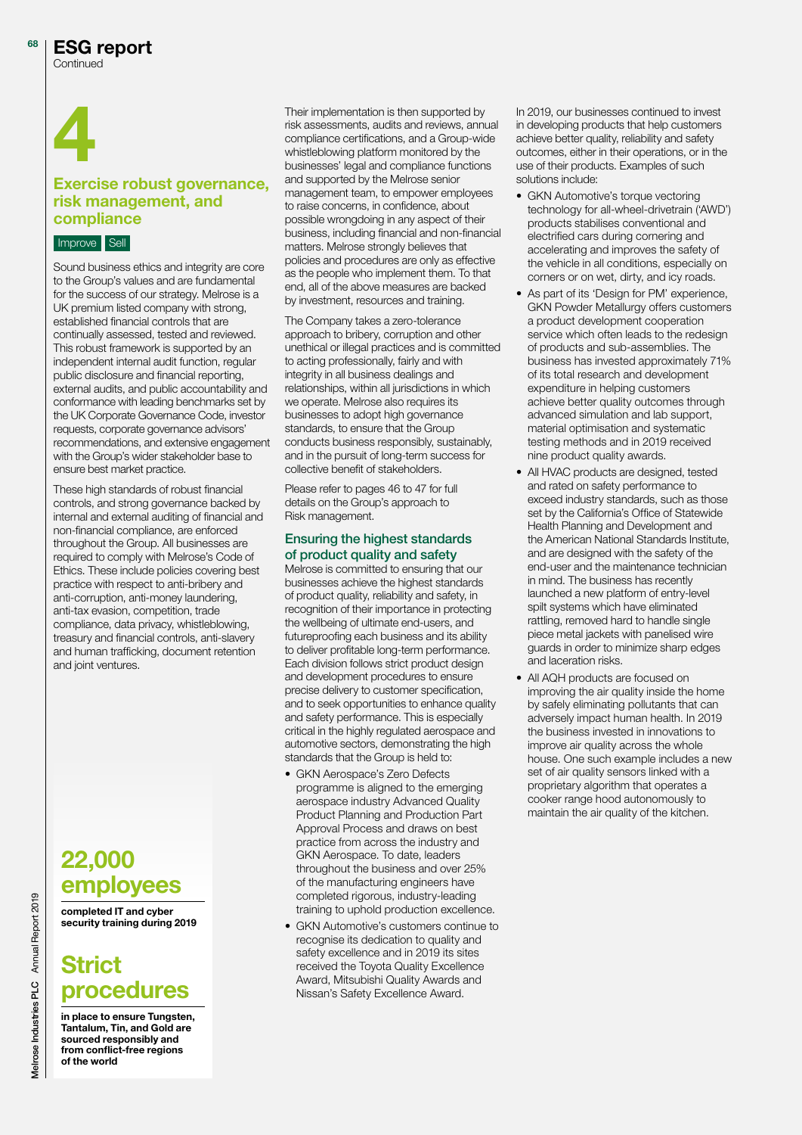**Continued** 

## Exercise robust governance, risk management, and compliance 4

### Improve Sell

Sound business ethics and integrity are core to the Group's values and are fundamental for the success of our strategy. Melrose is a UK premium listed company with strong, established financial controls that are continually assessed, tested and reviewed. This robust framework is supported by an independent internal audit function, regular public disclosure and financial reporting, external audits, and public accountability and conformance with leading benchmarks set by the UK Corporate Governance Code, investor requests, corporate governance advisors' recommendations, and extensive engagement with the Group's wider stakeholder base to ensure best market practice.

These high standards of robust financial controls, and strong governance backed by internal and external auditing of financial and non-financial compliance, are enforced throughout the Group. All businesses are required to comply with Melrose's Code of Ethics. These include policies covering best practice with respect to anti-bribery and anti-corruption, anti-money laundering, anti-tax evasion, competition, trade compliance, data privacy, whistleblowing, treasury and financial controls, anti-slavery and human trafficking, document retention and joint ventures.

## 22,000 employees

completed IT and cyber security training during 2019

## Strict procedures

in place to ensure Tungsten, Tantalum, Tin, and Gold are sourced responsibly and from conflict-free regions of the world

Their implementation is then supported by risk assessments, audits and reviews, annual compliance certifications, and a Group-wide whistleblowing platform monitored by the businesses' legal and compliance functions and supported by the Melrose senior management team, to empower employees to raise concerns, in confidence, about possible wrongdoing in any aspect of their business, including financial and non-financial matters. Melrose strongly believes that policies and procedures are only as effective as the people who implement them. To that end, all of the above measures are backed by investment, resources and training.

The Company takes a zero-tolerance approach to bribery, corruption and other unethical or illegal practices and is committed to acting professionally, fairly and with integrity in all business dealings and relationships, within all jurisdictions in which we operate. Melrose also requires its businesses to adopt high governance standards, to ensure that the Group conducts business responsibly, sustainably, and in the pursuit of long-term success for collective benefit of stakeholders.

Please refer to pages 46 to 47 for full details on the Group's approach to Risk management.

### Ensuring the highest standards of product quality and safety

Melrose is committed to ensuring that our businesses achieve the highest standards of product quality, reliability and safety, in recognition of their importance in protecting the wellbeing of ultimate end-users, and futureproofing each business and its ability to deliver profitable long-term performance. Each division follows strict product design and development procedures to ensure precise delivery to customer specification, and to seek opportunities to enhance quality and safety performance. This is especially critical in the highly regulated aerospace and automotive sectors, demonstrating the high standards that the Group is held to:

- GKN Aerospace's Zero Defects programme is aligned to the emerging aerospace industry Advanced Quality Product Planning and Production Part Approval Process and draws on best practice from across the industry and GKN Aerospace. To date, leaders throughout the business and over 25% of the manufacturing engineers have completed rigorous, industry-leading training to uphold production excellence.
- GKN Automotive's customers continue to recognise its dedication to quality and safety excellence and in 2019 its sites received the Toyota Quality Excellence Award, Mitsubishi Quality Awards and Nissan's Safety Excellence Award.

In 2019, our businesses continued to invest in developing products that help customers achieve better quality, reliability and safety outcomes, either in their operations, or in the use of their products. Examples of such solutions include:

- GKN Automotive's torque vectoring technology for all-wheel-drivetrain ('AWD') products stabilises conventional and electrified cars during cornering and accelerating and improves the safety of the vehicle in all conditions, especially on corners or on wet, dirty, and icy roads.
- As part of its 'Design for PM' experience, GKN Powder Metallurgy offers customers a product development cooperation service which often leads to the redesign of products and sub-assemblies. The business has invested approximately 71% of its total research and development expenditure in helping customers achieve better quality outcomes through advanced simulation and lab support, material optimisation and systematic testing methods and in 2019 received nine product quality awards.
- All HVAC products are designed, tested and rated on safety performance to exceed industry standards, such as those set by the California's Office of Statewide Health Planning and Development and the American National Standards Institute, and are designed with the safety of the end-user and the maintenance technician in mind. The business has recently launched a new platform of entry-level spilt systems which have eliminated rattling, removed hard to handle single piece metal jackets with panelised wire guards in order to minimize sharp edges and laceration risks.
- All AQH products are focused on improving the air quality inside the home by safely eliminating pollutants that can adversely impact human health. In 2019 the business invested in innovations to improve air quality across the whole house. One such example includes a new set of air quality sensors linked with a proprietary algorithm that operates a cooker range hood autonomously to maintain the air quality of the kitchen.